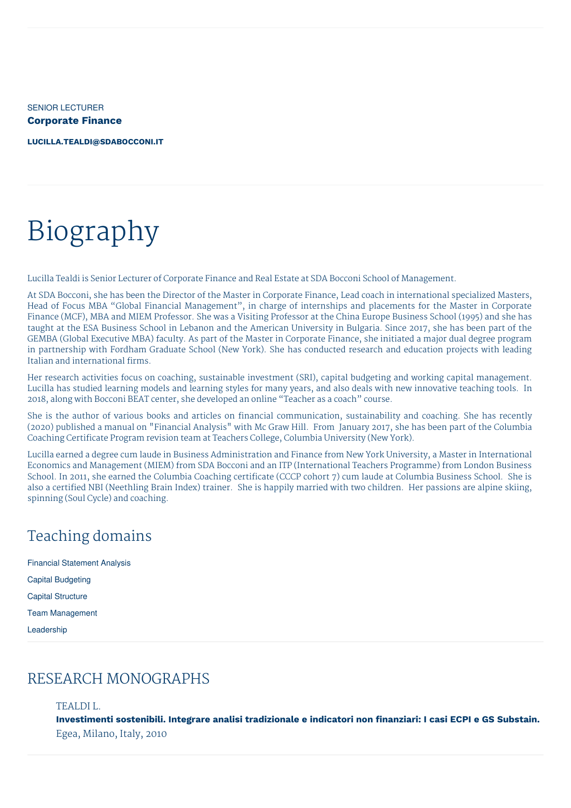SENIOR LECTURER **Corporate Finance**

**[LUCILLA.TEALDI@SDABOCCONI.IT](mailto:lucilla.tealdi@sdabocconi.it)**

# Biography

Lucilla Tealdi is Senior Lecturer of Corporate Finance and Real Estate at SDA Bocconi School of Management.

At SDA Bocconi, she has been the Director of the Master in Corporate Finance, Lead coach in international specialized Masters, Head of Focus MBA "Global Financial Management", in charge of internships and placements for the Master in Corporate Finance (MCF), MBA and MIEM Professor. She was a Visiting Professor at the China Europe Business School (1995) and she has taught at the ESA Business School in Lebanon and the American University in Bulgaria. Since 2017, she has been part of the GEMBA (Global Executive MBA) faculty. As part of the Master in Corporate Finance, she initiated a major dual degree program in partnership with Fordham Graduate School (New York). She has conducted research and education projects with leading Italian and international firms.

Her research activities focus on coaching, sustainable investment (SRI), capital budgeting and working capital management. Lucilla has studied learning models and learning styles for many years, and also deals with new innovative teaching tools. In 2018, along with Bocconi BEAT center, she developed an online "Teacher as a coach" course.

She is the author of various books and articles on financial communication, sustainability and coaching. She has recently (2020) published a manual on "Financial Analysis" with Mc Graw Hill. From January 2017, she has been part of the Columbia Coaching Certificate Program revision team at Teachers College, Columbia University (New York).

Lucilla earned a degree cum laude in Business Administration and Finance from New York University, a Master in International Economics and Management (MIEM) from SDA Bocconi and an ITP (International Teachers Programme) from London Business School. In 2011, she earned the Columbia Coaching certificate (CCCP cohort 7) cum laude at Columbia Business School. She is also a certified NBI (Neethling Brain Index) trainer. She is happily married with two children. Her passions are alpine skiing, spinning (Soul Cycle) and coaching.

### Teaching domains

Financial Statement Analysis Capital Budgeting Capital Structure Team Management Leadership

### RESEARCH MONOGRAPHS

#### TEALDI L.

**Investimenti sostenibili. Integrare analisi tradizionale e indicatori non finanziari: I casi ECPI e GS Substain.** Egea, Milano, Italy, 2010